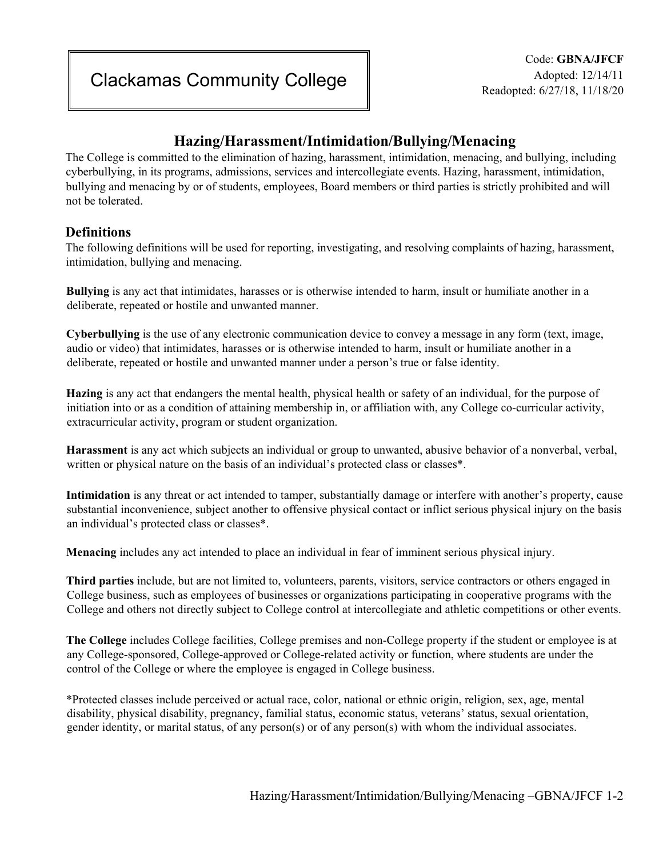# **Hazing/Harassment/Intimidation/Bullying/Menacing**

The College is committed to the elimination of hazing, harassment, intimidation, menacing, and bullying, including cyberbullying, in its programs, admissions, services and intercollegiate events. Hazing, harassment, intimidation, bullying and menacing by or of students, employees, Board members or third parties is strictly prohibited and will not be tolerated.

## **Definitions**

The following definitions will be used for reporting, investigating, and resolving complaints of hazing, harassment, intimidation, bullying and menacing.

**Bullying** is any act that intimidates, harasses or is otherwise intended to harm, insult or humiliate another in a deliberate, repeated or hostile and unwanted manner.

**Cyberbullying** is the use of any electronic communication device to convey a message in any form (text, image, audio or video) that intimidates, harasses or is otherwise intended to harm, insult or humiliate another in a deliberate, repeated or hostile and unwanted manner under a person's true or false identity.

**Hazing** is any act that endangers the mental health, physical health or safety of an individual, for the purpose of initiation into or as a condition of attaining membership in, or affiliation with, any College co-curricular activity, extracurricular activity, program or student organization.

**Harassment** is any act which subjects an individual or group to unwanted, abusive behavior of a nonverbal, verbal, written or physical nature on the basis of an individual's protected class or classes\*.

**Intimidation** is any threat or act intended to tamper, substantially damage or interfere with another's property, cause substantial inconvenience, subject another to offensive physical contact or inflict serious physical injury on the basis an individual's protected class or classes\*.

**Menacing** includes any act intended to place an individual in fear of imminent serious physical injury.

**Third parties** include, but are not limited to, volunteers, parents, visitors, service contractors or others engaged in College business, such as employees of businesses or organizations participating in cooperative programs with the College and others not directly subject to College control at intercollegiate and athletic competitions or other events.

**The College** includes College facilities, College premises and non-College property if the student or employee is at any College-sponsored, College-approved or College-related activity or function, where students are under the control of the College or where the employee is engaged in College business.

\*Protected classes include perceived or actual race, color, national or ethnic origin, religion, sex, age, mental disability, physical disability, pregnancy, familial status, economic status, veterans' status, sexual orientation, gender identity, or marital status, of any person(s) or of any person(s) with whom the individual associates.